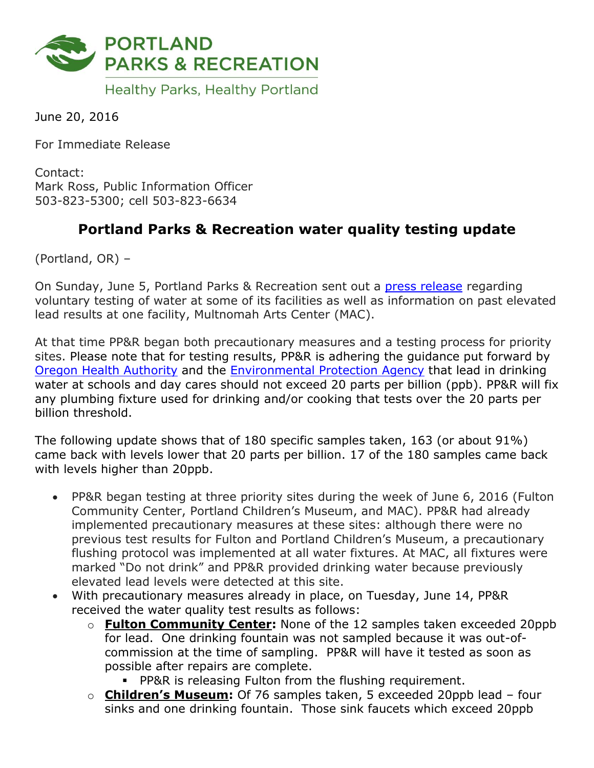

June 20, 2016

For Immediate Release

Contact: Mark Ross, Public Information Officer 503-823-5300; cell 503-823-6634

## **Portland Parks & Recreation water quality testing update**

(Portland, OR) –

On Sunday, June 5, Portland Parks & Recreation sent out a [press release](http://www.portlandoregon.gov/parks/article/579265) regarding voluntary testing of water at some of its facilities as well as information on past elevated lead results at one facility, Multnomah Arts Center (MAC).

At that time PP&R began both precautionary measures and a testing process for priority sites. Please note that for testing results, PP&R is adhering the guidance put forward by Oregon [Health Authority](http://public.health.oregon.gov/HealthyEnvironments/HealthyNeighborhoods/LeadPoisoning/ChildCareSchools/Documents/schools-lead-in-drinking-water.pdf) and the [Environmental Protection Agency](https://www.epa.gov/sites/production/files/2015-09/documents/toolkit_leadschools_guide_3ts_leadschools.pdf) that lead in drinking water at schools and day cares should not exceed 20 parts per billion (ppb). PP&R will fix any plumbing fixture used for drinking and/or cooking that tests over the 20 parts per billion threshold.

The following update shows that of 180 specific samples taken, 163 (or about 91%) came back with levels lower that 20 parts per billion. 17 of the 180 samples came back with levels higher than 20ppb.

- PP&R began testing at three priority sites during the week of June 6, 2016 (Fulton Community Center, Portland Children's Museum, and MAC). PP&R had already implemented precautionary measures at these sites: although there were no previous test results for Fulton and Portland Children's Museum, a precautionary flushing protocol was implemented at all water fixtures. At MAC, all fixtures were marked "Do not drink" and PP&R provided drinking water because previously elevated lead levels were detected at this site.
- With precautionary measures already in place, on Tuesday, June 14, PP&R received the water quality test results as follows:
	- o **Fulton Community Center:** None of the 12 samples taken exceeded 20ppb for lead. One drinking fountain was not sampled because it was out-ofcommission at the time of sampling. PP&R will have it tested as soon as possible after repairs are complete.
		- **PP&R** is releasing Fulton from the flushing requirement.
	- o **Children's Museum:** Of 76 samples taken, 5 exceeded 20ppb lead four sinks and one drinking fountain. Those sink faucets which exceed 20ppb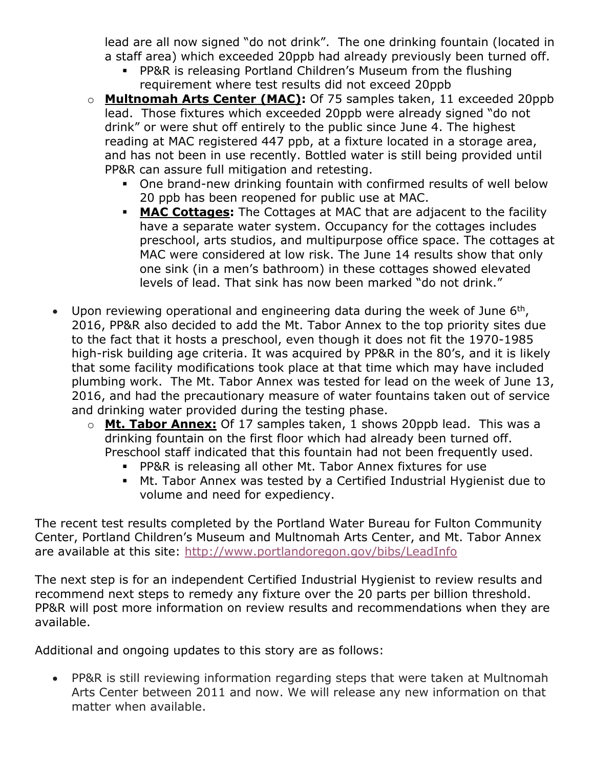lead are all now signed "do not drink". The one drinking fountain (located in a staff area) which exceeded 20ppb had already previously been turned off.

- PP&R is releasing Portland Children's Museum from the flushing requirement where test results did not exceed 20ppb
- o **Multnomah Arts Center (MAC):** Of 75 samples taken, 11 exceeded 20ppb lead. Those fixtures which exceeded 20ppb were already signed "do not drink" or were shut off entirely to the public since June 4. The highest reading at MAC registered 447 ppb, at a fixture located in a storage area, and has not been in use recently. Bottled water is still being provided until PP&R can assure full mitigation and retesting.
	- One brand-new drinking fountain with confirmed results of well below 20 ppb has been reopened for public use at MAC.
	- **MAC Cottages:** The Cottages at MAC that are adjacent to the facility have a separate water system. Occupancy for the cottages includes preschool, arts studios, and multipurpose office space. The cottages at MAC were considered at low risk. The June 14 results show that only one sink (in a men's bathroom) in these cottages showed elevated levels of lead. That sink has now been marked "do not drink."
- Upon reviewing operational and engineering data during the week of June  $6<sup>th</sup>$ , 2016, PP&R also decided to add the Mt. Tabor Annex to the top priority sites due to the fact that it hosts a preschool, even though it does not fit the 1970-1985 high-risk building age criteria. It was acquired by PP&R in the 80's, and it is likely that some facility modifications took place at that time which may have included plumbing work. The Mt. Tabor Annex was tested for lead on the week of June 13, 2016, and had the precautionary measure of water fountains taken out of service and drinking water provided during the testing phase.
	- o **Mt. Tabor Annex:** Of 17 samples taken, 1 shows 20ppb lead. This was a drinking fountain on the first floor which had already been turned off. Preschool staff indicated that this fountain had not been frequently used.
		- PP&R is releasing all other Mt. Tabor Annex fixtures for use
		- Mt. Tabor Annex was tested by a Certified Industrial Hygienist due to volume and need for expediency.

The recent test results completed by the Portland Water Bureau for Fulton Community Center, Portland Children's Museum and Multnomah Arts Center, and Mt. Tabor Annex are available at this site:<http://www.portlandoregon.gov/bibs/LeadInfo>

The next step is for an independent Certified Industrial Hygienist to review results and recommend next steps to remedy any fixture over the 20 parts per billion threshold. PP&R will post more information on review results and recommendations when they are available.

Additional and ongoing updates to this story are as follows:

 PP&R is still reviewing information regarding steps that were taken at Multnomah Arts Center between 2011 and now. We will release any new information on that matter when available.